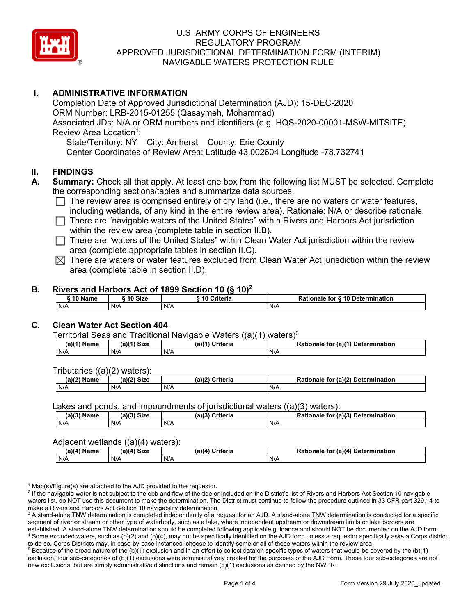

# **I. ADMINISTRATIVE INFORMATION**

Completion Date of Approved Jurisdictional Determination (AJD): 15-DEC-2020 ORM Number: LRB-2015-01255 (Qasaymeh, Mohammad) Associated JDs: N/A or ORM numbers and identifiers (e.g. HQS-2020-00001-MSW-MITSITE) Review Area Location<sup>1</sup>: State/Territory: NY City: Amherst County: Erie County

Center Coordinates of Review Area: Latitude 43.002604 Longitude -78.732741

### **II. FINDINGS**

- **A. Summary:** Check all that apply. At least one box from the following list MUST be selected. Complete the corresponding sections/tables and summarize data sources.
	- $\Box$  The review area is comprised entirely of dry land (i.e., there are no waters or water features, including wetlands, of any kind in the entire review area). Rationale: N/A or describe rationale.
	- $\Box$  There are "navigable waters of the United States" within Rivers and Harbors Act jurisdiction within the review area (complete table in section II.B).
	- $\Box$  There are "waters of the United States" within Clean Water Act jurisdiction within the review area (complete appropriate tables in section II.C).
	- $\boxtimes$  There are waters or water features excluded from Clean Water Act jurisdiction within the review area (complete table in section II.D).

### **B. Rivers and Harbors Act of 1899 Section 10 (§ 10)<sup>2</sup>**

| 10 Name | 10 Size | ----<br>Criteria<br>. 10 | Rationale for § 10 Determination |
|---------|---------|--------------------------|----------------------------------|
| N/A     | N/A     | N/A                      | N/A                              |

## **C. Clean Water Act Section 404**

#### Territorial Seas and Traditional Navigable Waters ((a)(1) waters)3

| (a)(1) Name | $^{\prime\prime\prime\prime}$ $^{\prime\prime}$ $^{\prime\prime}$ $^{\prime\prime}$ $^{\prime\prime}$ $^{\prime\prime}$ $^{\prime\prime}$ $^{\prime\prime}$ | $(a)$ $(4)$<br>Criteria | (a)(1) Determination<br>Rationale<br>tor |
|-------------|-------------------------------------------------------------------------------------------------------------------------------------------------------------|-------------------------|------------------------------------------|
| N/A         | N/A                                                                                                                                                         | N/A                     | N/f                                      |

Tributaries ((a)(2) waters):

| $1001$ $B1 -$<br>Name | $-10o$<br>$\sim$ 0.4 $\sim$<br>יגוכ | a) (2<br>`riteria | (n)<br>Determi<br>ination<br>to<br>naie |
|-----------------------|-------------------------------------|-------------------|-----------------------------------------|
| N/A                   | N/A                                 | N/F               | N/A                                     |

Lakes and ponds, and impoundments of jurisdictional waters ((a)(3) waters):

| (a)(3) Name | $(a)(3)$ Size | (a)/2<br>Criteria | . (a) $(3)$<br>Determination<br>Rationale<br>tor |
|-------------|---------------|-------------------|--------------------------------------------------|
| N/A         | N/A           | N/f               | N/A                                              |

### Adjacent wetlands ((a)(4) waters):

| - - - - -<br>. |             |                 |                                               |
|----------------|-------------|-----------------|-----------------------------------------------|
| $(a)(4)$ Name  | (a)(4) Size | (a)(4) Criteria | (a)(4)<br>Determination<br>Rationale<br>, tor |
| N/A            | N/f         | N/A             | N/A                                           |

 $1$  Map(s)/Figure(s) are attached to the AJD provided to the requestor.

<sup>2</sup> If the navigable water is not subject to the ebb and flow of the tide or included on the District's list of Rivers and Harbors Act Section 10 navigable waters list, do NOT use this document to make the determination. The District must continue to follow the procedure outlined in 33 CFR part 329.14 to make a Rivers and Harbors Act Section 10 navigability determination.

<sup>3</sup> A stand-alone TNW determination is completed independently of a request for an AJD. A stand-alone TNW determination is conducted for a specific segment of river or stream or other type of waterbody, such as a lake, where independent upstream or downstream limits or lake borders are established. A stand-alone TNW determination should be completed following applicable guidance and should NOT be documented on the AJD form. <sup>4</sup> Some excluded waters, such as (b)(2) and (b)(4), may not be specifically identified on the AJD form unless a requestor specifically asks a Corps district to do so. Corps Districts may, in case-by-case instances, choose to identify some or all of these waters within the review area.

 $5$  Because of the broad nature of the (b)(1) exclusion and in an effort to collect data on specific types of waters that would be covered by the (b)(1) exclusion, four sub-categories of (b)(1) exclusions were administratively created for the purposes of the AJD Form. These four sub-categories are not new exclusions, but are simply administrative distinctions and remain (b)(1) exclusions as defined by the NWPR.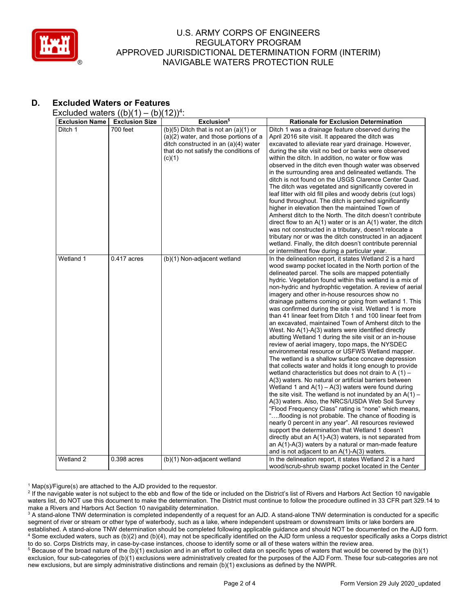

# **D. Excluded Waters or Features**

Excluded waters  $((b)(1) - (b)(12))^4$ :

| <b>Exclusion Name</b> | <b>Exclusion Size</b> | Exclusion <sup>5</sup>                                                                                                                                                        | <b>Rationale for Exclusion Determination</b>                                                                                                                                                                                                                                                                                                                                                                                                                                                                                                                                                                                                                                                                                                                                                                                                                                                                                                                                                                                                                                                                                                                                                                                                                                                                                                                                                                                                                                                                                                                                                                                             |
|-----------------------|-----------------------|-------------------------------------------------------------------------------------------------------------------------------------------------------------------------------|------------------------------------------------------------------------------------------------------------------------------------------------------------------------------------------------------------------------------------------------------------------------------------------------------------------------------------------------------------------------------------------------------------------------------------------------------------------------------------------------------------------------------------------------------------------------------------------------------------------------------------------------------------------------------------------------------------------------------------------------------------------------------------------------------------------------------------------------------------------------------------------------------------------------------------------------------------------------------------------------------------------------------------------------------------------------------------------------------------------------------------------------------------------------------------------------------------------------------------------------------------------------------------------------------------------------------------------------------------------------------------------------------------------------------------------------------------------------------------------------------------------------------------------------------------------------------------------------------------------------------------------|
| Ditch 1               | 700 feet              | $(b)(5)$ Ditch that is not an $(a)(1)$ or<br>(a)(2) water, and those portions of a<br>ditch constructed in an (a)(4) water<br>that do not satisfy the conditions of<br>(c)(1) | Ditch 1 was a drainage feature observed during the<br>April 2016 site visit. It appeared the ditch was<br>excavated to alleviate rear yard drainage. However,<br>during the site visit no bed or banks were observed<br>within the ditch. In addition, no water or flow was<br>observed in the ditch even though water was observed<br>in the surrounding area and delineated wetlands. The<br>ditch is not found on the USGS Clarence Center Quad.<br>The ditch was vegetated and significantly covered in<br>leaf litter with old fill piles and woody debris (cut logs)<br>found throughout. The ditch is perched significantly<br>higher in elevation then the maintained Town of<br>Amherst ditch to the North. The ditch doesn't contribute<br>direct flow to an $A(1)$ water or is an $A(1)$ water, the ditch<br>was not constructed in a tributary, doesn't relocate a<br>tributary nor or was the ditch constructed in an adjacent<br>wetland. Finally, the ditch doesn't contribute perennial<br>or intermittent flow during a particular year.                                                                                                                                                                                                                                                                                                                                                                                                                                                                                                                                                                                |
| Wetland 1             | $0.417$ acres         | (b)(1) Non-adjacent wetland                                                                                                                                                   | In the delineation report, it states Wetland 2 is a hard<br>wood swamp pocket located in the North portion of the<br>delineated parcel. The soils are mapped potentially<br>hydric. Vegetation found within this wetland is a mix of<br>non-hydric and hydrophtic vegetation. A review of aerial<br>imagery and other in-house resources show no<br>drainage patterns coming or going from wetland 1. This<br>was confirmed during the site visit. Wetland 1 is more<br>than 41 linear feet from Ditch 1 and 100 linear feet from<br>an excavated, maintained Town of Amherst ditch to the<br>West. No A(1)-A(3) waters were identified directly<br>abutting Wetland 1 during the site visit or an in-house<br>review of aerial imagery, topo maps, the NYSDEC<br>environmental resource or USFWS Wetland mapper.<br>The wetland is a shallow surface concave depression<br>that collects water and holds it long enough to provide<br>wetland characteristics but does not drain to A (1) -<br>A(3) waters. No natural or artificial barriers between<br>Wetland 1 and $A(1) - A(3)$ waters were found during<br>the site visit. The wetland is not inundated by an $A(1)$ –<br>A(3) waters. Also, the NRCS/USDA Web Soil Survey<br>"Flood Frequency Class" rating is "none" which means,<br>"flooding is not probable. The chance of flooding is<br>nearly 0 percent in any year". All resources reviewed<br>support the determination that Wetland 1 doesn't<br>directly abut an $A(1)$ - $A(3)$ waters, is not separated from<br>an A(1)-A(3) waters by a natural or man-made feature<br>and is not adjacent to an A(1)-A(3) waters. |
| Wetland 2             | $0.398$ acres         | (b)(1) Non-adjacent wetland                                                                                                                                                   | In the delineation report, it states Wetland 2 is a hard<br>wood/scrub-shrub swamp pocket located in the Center                                                                                                                                                                                                                                                                                                                                                                                                                                                                                                                                                                                                                                                                                                                                                                                                                                                                                                                                                                                                                                                                                                                                                                                                                                                                                                                                                                                                                                                                                                                          |

 $1$  Map(s)/Figure(s) are attached to the AJD provided to the requestor.

<sup>2</sup> If the navigable water is not subject to the ebb and flow of the tide or included on the District's list of Rivers and Harbors Act Section 10 navigable waters list, do NOT use this document to make the determination. The District must continue to follow the procedure outlined in 33 CFR part 329.14 to make a Rivers and Harbors Act Section 10 navigability determination.

<sup>3</sup> A stand-alone TNW determination is completed independently of a request for an AJD. A stand-alone TNW determination is conducted for a specific segment of river or stream or other type of waterbody, such as a lake, where independent upstream or downstream limits or lake borders are established. A stand-alone TNW determination should be completed following applicable guidance and should NOT be documented on the AJD form. <sup>4</sup> Some excluded waters, such as (b)(2) and (b)(4), may not be specifically identified on the AJD form unless a requestor specifically asks a Corps district to do so. Corps Districts may, in case-by-case instances, choose to identify some or all of these waters within the review area.

<sup>5</sup> Because of the broad nature of the (b)(1) exclusion and in an effort to collect data on specific types of waters that would be covered by the (b)(1) exclusion, four sub-categories of (b)(1) exclusions were administratively created for the purposes of the AJD Form. These four sub-categories are not new exclusions, but are simply administrative distinctions and remain (b)(1) exclusions as defined by the NWPR.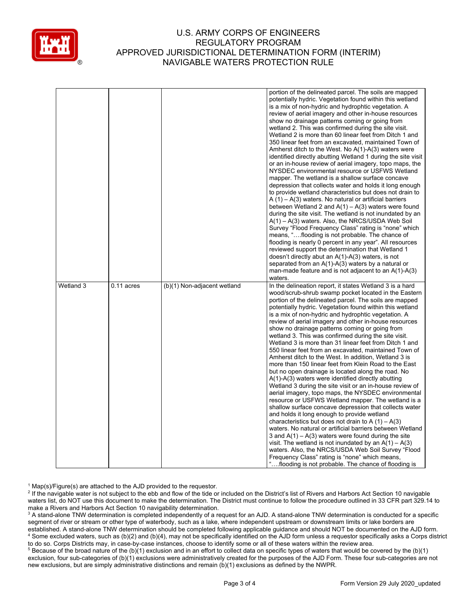

|           |              |                             | portion of the delineated parcel. The soils are mapped<br>potentially hydric. Vegetation found within this wetland<br>is a mix of non-hydric and hydrophtic vegetation. A<br>review of aerial imagery and other in-house resources<br>show no drainage patterns coming or going from<br>wetland 2. This was confirmed during the site visit.<br>Wetland 2 is more than 60 linear feet from Ditch 1 and<br>350 linear feet from an excavated, maintained Town of<br>Amherst ditch to the West. No $A(1)-A(3)$ waters were<br>identified directly abutting Wetland 1 during the site visit<br>or an in-house review of aerial imagery, topo maps, the<br>NYSDEC environmental resource or USFWS Wetland<br>mapper. The wetland is a shallow surface concave<br>depression that collects water and holds it long enough<br>to provide wetland characteristics but does not drain to<br>$A(1) - A(3)$ waters. No natural or artificial barriers<br>between Wetland 2 and $A(1) - A(3)$ waters were found<br>during the site visit. The wetland is not inundated by an<br>$A(1) - A(3)$ waters. Also, the NRCS/USDA Web Soil<br>Survey "Flood Frequency Class" rating is "none" which<br>means, "flooding is not probable. The chance of<br>flooding is nearly 0 percent in any year". All resources<br>reviewed support the determination that Wetland 1<br>doesn't directly abut an $A(1)-A(3)$ waters, is not<br>separated from an $A(1)-A(3)$ waters by a natural or<br>man-made feature and is not adjacent to an $A(1)-A(3)$<br>waters. |
|-----------|--------------|-----------------------------|------------------------------------------------------------------------------------------------------------------------------------------------------------------------------------------------------------------------------------------------------------------------------------------------------------------------------------------------------------------------------------------------------------------------------------------------------------------------------------------------------------------------------------------------------------------------------------------------------------------------------------------------------------------------------------------------------------------------------------------------------------------------------------------------------------------------------------------------------------------------------------------------------------------------------------------------------------------------------------------------------------------------------------------------------------------------------------------------------------------------------------------------------------------------------------------------------------------------------------------------------------------------------------------------------------------------------------------------------------------------------------------------------------------------------------------------------------------------------------------------------------------------------------------|
| Wetland 3 | $0.11$ acres | (b)(1) Non-adjacent wetland | In the delineation report, it states Wetland 3 is a hard<br>wood/scrub-shrub swamp pocket located in the Eastern<br>portion of the delineated parcel. The soils are mapped<br>potentially hydric. Vegetation found within this wetland<br>is a mix of non-hydric and hydrophtic vegetation. A<br>review of aerial imagery and other in-house resources<br>show no drainage patterns coming or going from<br>wetland 3. This was confirmed during the site visit.<br>Wetland 3 is more than 31 linear feet from Ditch 1 and<br>550 linear feet from an excavated, maintained Town of<br>Amherst ditch to the West. In addition, Wetland 3 is<br>more than 150 linear feet from Klein Road to the East<br>but no open drainage is located along the road. No<br>$A(1)-A(3)$ waters were identified directly abutting<br>Wetland 3 during the site visit or an in-house review of<br>aerial imagery, topo maps, the NYSDEC environmental<br>resource or USFWS Wetland mapper. The wetland is a<br>shallow surface concave depression that collects water<br>and holds it long enough to provide wetland<br>characteristics but does not drain to A $(1) - A(3)$<br>waters. No natural or artificial barriers between Wetland<br>3 and $A(1) - A(3)$ waters were found during the site<br>visit. The wetland is not inundated by an $A(1) - A(3)$<br>waters. Also, the NRCS/USDA Web Soil Survey "Flood<br>Frequency Class" rating is "none" which means,<br>flooding is not probable. The chance of flooding is                             |

 $1$  Map(s)/Figure(s) are attached to the AJD provided to the requestor.

<sup>2</sup> If the navigable water is not subject to the ebb and flow of the tide or included on the District's list of Rivers and Harbors Act Section 10 navigable waters list, do NOT use this document to make the determination. The District must continue to follow the procedure outlined in 33 CFR part 329.14 to make a Rivers and Harbors Act Section 10 navigability determination.

<sup>3</sup> A stand-alone TNW determination is completed independently of a request for an AJD. A stand-alone TNW determination is conducted for a specific segment of river or stream or other type of waterbody, such as a lake, where independent upstream or downstream limits or lake borders are established. A stand-alone TNW determination should be completed following applicable guidance and should NOT be documented on the AJD form. <sup>4</sup> Some excluded waters, such as (b)(2) and (b)(4), may not be specifically identified on the AJD form unless a requestor specifically asks a Corps district to do so. Corps Districts may, in case-by-case instances, choose to identify some or all of these waters within the review area.

<sup>5</sup> Because of the broad nature of the (b)(1) exclusion and in an effort to collect data on specific types of waters that would be covered by the (b)(1) exclusion, four sub-categories of (b)(1) exclusions were administratively created for the purposes of the AJD Form. These four sub-categories are not new exclusions, but are simply administrative distinctions and remain (b)(1) exclusions as defined by the NWPR.